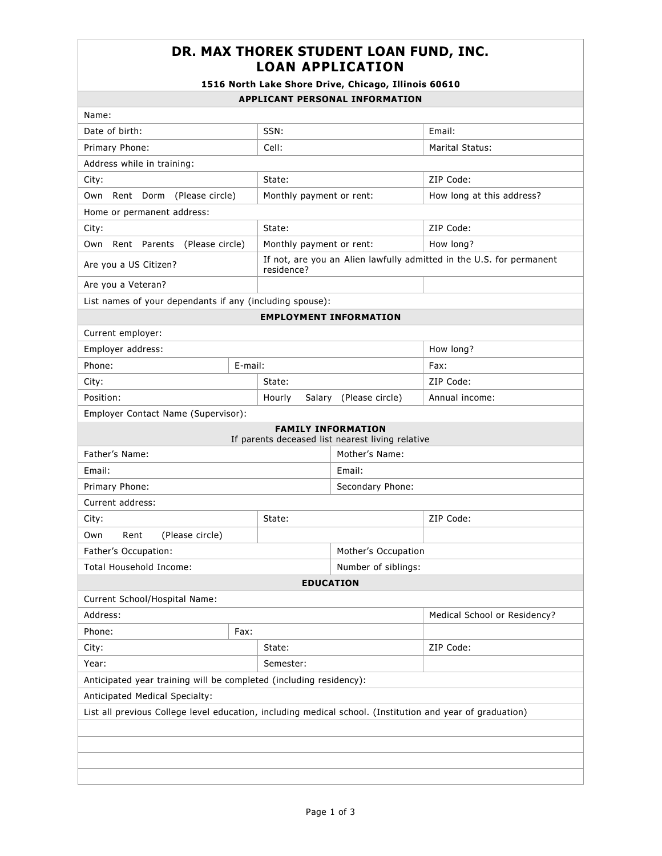## **DR. MAX THOREK STUDENT LOAN FUND, INC. LOAN APPLICATION**

## **1516 North Lake Shore Drive, Chicago, Illinois 60610**

## **APPLICANT PERSONAL INFORMATION**

| AFFLICANI FERSUNAL INFURMATIUN                                                                            |                     |                                                                                    |                                                                               |                              |  |  |
|-----------------------------------------------------------------------------------------------------------|---------------------|------------------------------------------------------------------------------------|-------------------------------------------------------------------------------|------------------------------|--|--|
| Name:                                                                                                     |                     |                                                                                    |                                                                               |                              |  |  |
| Date of birth:                                                                                            |                     | SSN:                                                                               |                                                                               | Email:                       |  |  |
| Primary Phone:                                                                                            |                     | Cell:                                                                              |                                                                               | Marital Status:              |  |  |
| Address while in training:                                                                                |                     |                                                                                    |                                                                               |                              |  |  |
| City:                                                                                                     |                     | State:                                                                             |                                                                               | ZIP Code:                    |  |  |
| Own Rent Dorm (Please circle)                                                                             |                     | Monthly payment or rent:                                                           |                                                                               | How long at this address?    |  |  |
| Home or permanent address:                                                                                |                     |                                                                                    |                                                                               |                              |  |  |
| City:                                                                                                     |                     | State:                                                                             |                                                                               | ZIP Code:                    |  |  |
| Rent Parents<br>(Please circle)<br>Own                                                                    |                     | Monthly payment or rent:                                                           |                                                                               | How long?                    |  |  |
| Are you a US Citizen?                                                                                     |                     | If not, are you an Alien lawfully admitted in the U.S. for permanent<br>residence? |                                                                               |                              |  |  |
| Are you a Veteran?                                                                                        |                     |                                                                                    |                                                                               |                              |  |  |
| List names of your dependants if any (including spouse):                                                  |                     |                                                                                    |                                                                               |                              |  |  |
|                                                                                                           |                     |                                                                                    | <b>EMPLOYMENT INFORMATION</b>                                                 |                              |  |  |
| Current employer:                                                                                         |                     |                                                                                    |                                                                               |                              |  |  |
| Employer address:                                                                                         |                     |                                                                                    | How long?                                                                     |                              |  |  |
| Phone:                                                                                                    | E-mail:             |                                                                                    |                                                                               | Fax:                         |  |  |
| City:                                                                                                     |                     | State:                                                                             |                                                                               | ZIP Code:                    |  |  |
| Position:                                                                                                 |                     | Hourly                                                                             | Salary (Please circle)                                                        | Annual income:               |  |  |
| Employer Contact Name (Supervisor):                                                                       |                     |                                                                                    |                                                                               |                              |  |  |
|                                                                                                           |                     |                                                                                    | <b>FAMILY INFORMATION</b><br>If parents deceased list nearest living relative |                              |  |  |
| Father's Name:                                                                                            |                     |                                                                                    | Mother's Name:                                                                |                              |  |  |
| Email:                                                                                                    | Email:              |                                                                                    |                                                                               |                              |  |  |
| Primary Phone:                                                                                            | Secondary Phone:    |                                                                                    |                                                                               |                              |  |  |
| Current address:                                                                                          |                     |                                                                                    |                                                                               |                              |  |  |
| City:                                                                                                     |                     | State:                                                                             |                                                                               | ZIP Code:                    |  |  |
| (Please circle)<br>Rent<br>Own                                                                            |                     |                                                                                    |                                                                               |                              |  |  |
| Father's Occupation:                                                                                      |                     |                                                                                    | Mother's Occupation                                                           |                              |  |  |
| <b>Total Household Income:</b>                                                                            | Number of siblings: |                                                                                    |                                                                               |                              |  |  |
| <b>EDUCATION</b>                                                                                          |                     |                                                                                    |                                                                               |                              |  |  |
| Current School/Hospital Name:                                                                             |                     |                                                                                    |                                                                               |                              |  |  |
| Address:                                                                                                  |                     |                                                                                    |                                                                               | Medical School or Residency? |  |  |
| Phone:                                                                                                    | Fax:                |                                                                                    |                                                                               |                              |  |  |
| City:                                                                                                     |                     | State:                                                                             |                                                                               | ZIP Code:                    |  |  |
| Year:<br>Semester:                                                                                        |                     |                                                                                    |                                                                               |                              |  |  |
| Anticipated year training will be completed (including residency):                                        |                     |                                                                                    |                                                                               |                              |  |  |
| Anticipated Medical Specialty:                                                                            |                     |                                                                                    |                                                                               |                              |  |  |
| List all previous College level education, including medical school. (Institution and year of graduation) |                     |                                                                                    |                                                                               |                              |  |  |
|                                                                                                           |                     |                                                                                    |                                                                               |                              |  |  |
|                                                                                                           |                     |                                                                                    |                                                                               |                              |  |  |
|                                                                                                           |                     |                                                                                    |                                                                               |                              |  |  |
|                                                                                                           |                     |                                                                                    |                                                                               |                              |  |  |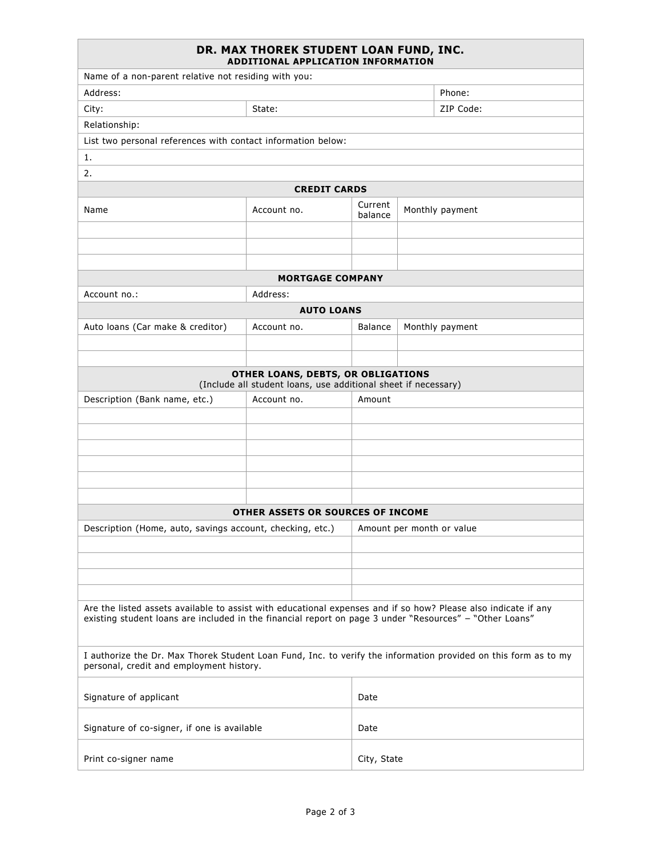| DR. MAX THOREK STUDENT LOAN FUND, INC.<br>ADDITIONAL APPLICATION INFORMATION                                                                                                                                              |                                                                                                      |                                       |             |                 |  |  |  |
|---------------------------------------------------------------------------------------------------------------------------------------------------------------------------------------------------------------------------|------------------------------------------------------------------------------------------------------|---------------------------------------|-------------|-----------------|--|--|--|
| Name of a non-parent relative not residing with you:                                                                                                                                                                      |                                                                                                      |                                       |             |                 |  |  |  |
| Address:                                                                                                                                                                                                                  |                                                                                                      |                                       |             | Phone:          |  |  |  |
| City:                                                                                                                                                                                                                     | State:                                                                                               |                                       |             | ZIP Code:       |  |  |  |
| Relationship:                                                                                                                                                                                                             |                                                                                                      |                                       |             |                 |  |  |  |
| List two personal references with contact information below:                                                                                                                                                              |                                                                                                      |                                       |             |                 |  |  |  |
| 1.                                                                                                                                                                                                                        |                                                                                                      |                                       |             |                 |  |  |  |
| 2.                                                                                                                                                                                                                        |                                                                                                      |                                       |             |                 |  |  |  |
|                                                                                                                                                                                                                           | <b>CREDIT CARDS</b>                                                                                  |                                       |             |                 |  |  |  |
| Name                                                                                                                                                                                                                      | Account no.                                                                                          | Current<br>Monthly payment<br>balance |             |                 |  |  |  |
|                                                                                                                                                                                                                           |                                                                                                      |                                       |             |                 |  |  |  |
|                                                                                                                                                                                                                           |                                                                                                      |                                       |             |                 |  |  |  |
|                                                                                                                                                                                                                           | <b>MORTGAGE COMPANY</b>                                                                              |                                       |             |                 |  |  |  |
| Address:<br>Account no.:                                                                                                                                                                                                  |                                                                                                      |                                       |             |                 |  |  |  |
| <b>AUTO LOANS</b>                                                                                                                                                                                                         |                                                                                                      |                                       |             |                 |  |  |  |
| Auto loans (Car make & creditor)                                                                                                                                                                                          | Account no.                                                                                          | <b>Balance</b>                        |             | Monthly payment |  |  |  |
|                                                                                                                                                                                                                           |                                                                                                      |                                       |             |                 |  |  |  |
|                                                                                                                                                                                                                           |                                                                                                      |                                       |             |                 |  |  |  |
|                                                                                                                                                                                                                           | OTHER LOANS, DEBTS, OR OBLIGATIONS<br>(Include all student loans, use additional sheet if necessary) |                                       |             |                 |  |  |  |
| Description (Bank name, etc.)                                                                                                                                                                                             | Account no.                                                                                          | Amount                                |             |                 |  |  |  |
|                                                                                                                                                                                                                           |                                                                                                      |                                       |             |                 |  |  |  |
|                                                                                                                                                                                                                           |                                                                                                      |                                       |             |                 |  |  |  |
|                                                                                                                                                                                                                           |                                                                                                      |                                       |             |                 |  |  |  |
|                                                                                                                                                                                                                           |                                                                                                      |                                       |             |                 |  |  |  |
|                                                                                                                                                                                                                           |                                                                                                      |                                       |             |                 |  |  |  |
|                                                                                                                                                                                                                           |                                                                                                      |                                       |             |                 |  |  |  |
|                                                                                                                                                                                                                           | OTHER ASSETS OR SOURCES OF INCOME                                                                    |                                       |             |                 |  |  |  |
| Description (Home, auto, savings account, checking, etc.)                                                                                                                                                                 |                                                                                                      | Amount per month or value             |             |                 |  |  |  |
|                                                                                                                                                                                                                           |                                                                                                      |                                       |             |                 |  |  |  |
|                                                                                                                                                                                                                           |                                                                                                      |                                       |             |                 |  |  |  |
|                                                                                                                                                                                                                           |                                                                                                      |                                       |             |                 |  |  |  |
|                                                                                                                                                                                                                           |                                                                                                      |                                       |             |                 |  |  |  |
| Are the listed assets available to assist with educational expenses and if so how? Please also indicate if any<br>existing student loans are included in the financial report on page 3 under "Resources" - "Other Loans" |                                                                                                      |                                       |             |                 |  |  |  |
| I authorize the Dr. Max Thorek Student Loan Fund, Inc. to verify the information provided on this form as to my<br>personal, credit and employment history.                                                               |                                                                                                      |                                       |             |                 |  |  |  |
| Signature of applicant                                                                                                                                                                                                    |                                                                                                      |                                       |             |                 |  |  |  |
| Signature of co-signer, if one is available                                                                                                                                                                               |                                                                                                      |                                       |             |                 |  |  |  |
| Print co-signer name                                                                                                                                                                                                      |                                                                                                      |                                       | City, State |                 |  |  |  |